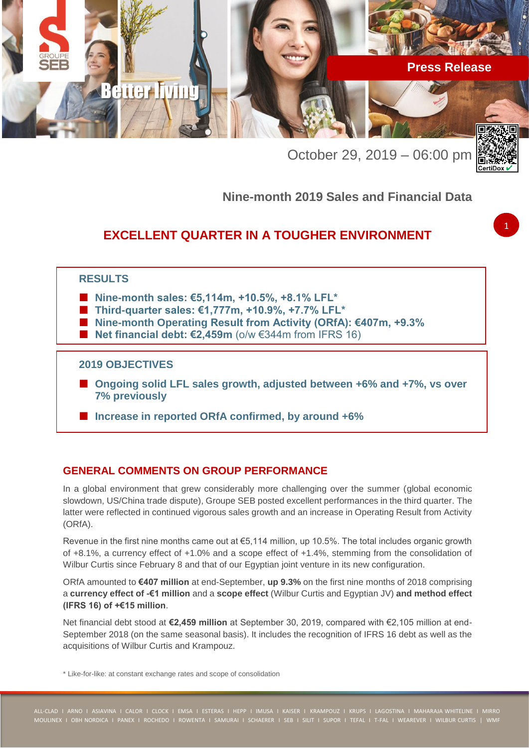

October 29, 2019 – 06:00 pm



1

# **Nine-month 2019 Sales and Financial Data**

# **EXCELLENT QUARTER IN A TOUGHER ENVIRONMENT**

# **RESULTS**

- Nine-month sales: €5,114m, +10.5%, +8.1% LFL<sup>\*</sup>
- **Third-quarter sales: €1,777m, +10.9%, +7.7% LFL\***
- **Nine-month Operating Result from Activity (ORfA): €407m, +9.3%**
- Net financial debt: €2,459m (o/w €344m from IFRS 16)

### **2019 OBJECTIVES**

- **Ongoing solid LFL sales growth, adjusted between +6% and +7%, vs over 7% previously**
- **Increase in reported ORfA confirmed, by around +6%**

# **GENERAL COMMENTS ON GROUP PERFORMANCE**

In a global environment that grew considerably more challenging over the summer (global economic slowdown, US/China trade dispute), Groupe SEB posted excellent performances in the third quarter. The latter were reflected in continued vigorous sales growth and an increase in Operating Result from Activity (ORfA).

Revenue in the first nine months came out at €5,114 million, up 10.5%. The total includes organic growth of +8.1%, a currency effect of +1.0% and a scope effect of +1.4%, stemming from the consolidation of Wilbur Curtis since February 8 and that of our Egyptian joint venture in its new configuration.

ORfA amounted to **€407 million** at end-September, **up 9.3%** on the first nine months of 2018 comprising a **currency effect of -€1 million** and a **scope effect** (Wilbur Curtis and Egyptian JV) **and method effect (IFRS 16) of +€15 million**.

Net financial debt stood at **€2,459 million** at September 30, 2019, compared with €2,105 million at end-September 2018 (on the same seasonal basis). It includes the recognition of IFRS 16 debt as well as the acquisitions of Wilbur Curtis and Krampouz.

\* Like-for-like: at constant exchange rates and scope of consolidation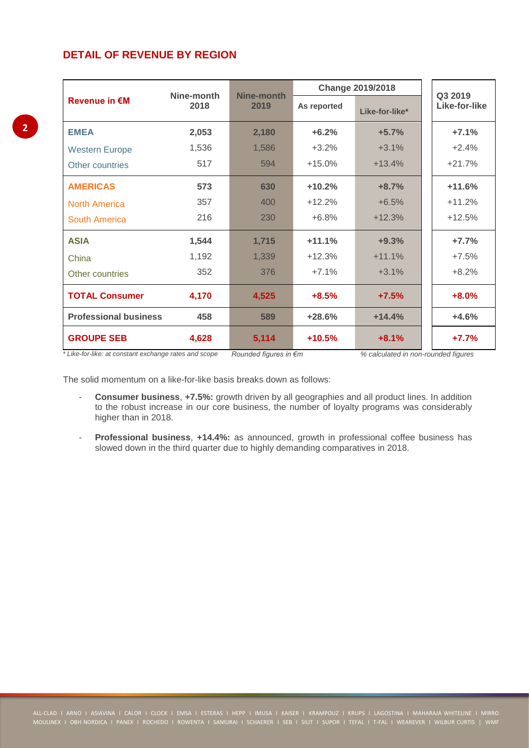# **DETAIL OF REVENUE BY REGION**

|                                                                                | Nine-month | Nine-month<br>2019              | <b>Change 2019/2018</b> | Q3 2019                                                      |               |
|--------------------------------------------------------------------------------|------------|---------------------------------|-------------------------|--------------------------------------------------------------|---------------|
| <b>Revenue in €M</b>                                                           | 2018       |                                 | As reported             | Like-for-like*                                               | Like-for-like |
| <b>EMEA</b>                                                                    | 2,053      | 2,180                           | $+6.2%$                 | $+5.7%$                                                      | $+7.1%$       |
| <b>Western Europe</b>                                                          | 1,536      | 1,586                           | $+3.2%$                 | $+3.1%$                                                      | $+2.4%$       |
| Other countries                                                                | 517        | 594                             | $+15.0%$                | $+13.4%$                                                     | $+21.7%$      |
| <b>AMERICAS</b>                                                                | 573        | 630                             | $+10.2%$                | $+8.7%$                                                      | $+11.6%$      |
| <b>North America</b>                                                           | 357        | 400                             | $+12.2%$                | $+6.5%$                                                      | $+11.2%$      |
| <b>South America</b>                                                           | 216        | 230                             | $+6.8%$                 | $+12.3%$                                                     | $+12.5%$      |
| <b>ASIA</b>                                                                    | 1,544      | 1,715                           | $+11.1%$                | $+9.3%$                                                      | $+7.7%$       |
| China                                                                          | 1,192      | 1,339                           | $+12.3%$                | $+11.1%$                                                     | $+7.5%$       |
| Other countries                                                                | 352        | 376                             | $+7.1%$                 | $+3.1%$                                                      | $+8.2%$       |
| <b>TOTAL Consumer</b>                                                          | 4,170      | 4,525                           | $+8.5%$                 | $+7.5%$                                                      | $+8.0%$       |
| <b>Professional business</b>                                                   | 458        | 589                             | $+28.6%$                | $+14.4%$                                                     | $+4.6%$       |
| <b>GROUPE SEB</b><br>* I ilin fax lilini at annatant avakanana xatan and anana | 4,628      | 5,114<br>Devoted Country in Cas | $+10.5%$                | $+8.1%$<br>04 and autobiously in the second contract finding | $+7.7%$       |

*\* Like-for-like: at constant exchange rates and scope Rounded figures in €m % calculated in non-rounded figures*

The solid momentum on a like-for-like basis breaks down as follows:

- **Consumer business**, **+7.5%:** growth driven by all geographies and all product lines. In addition to the robust increase in our core business, the number of loyalty programs was considerably higher than in 2018.
- **Professional business**, **+14.4%:** as announced, growth in professional coffee business has slowed down in the third quarter due to highly demanding comparatives in 2018.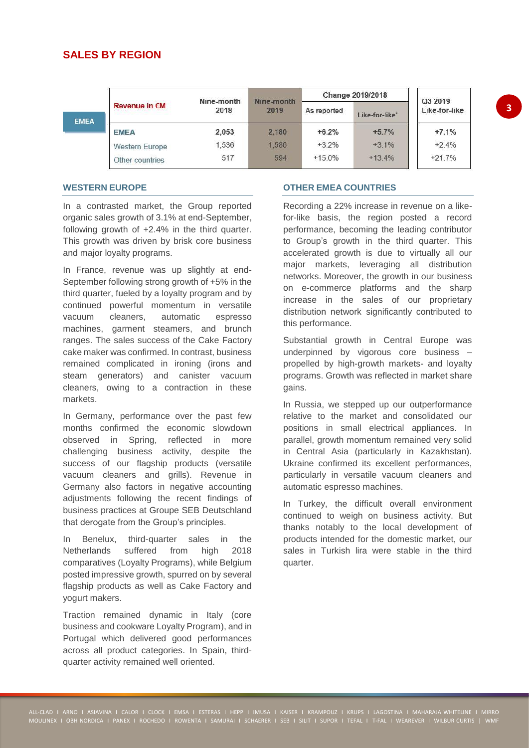# **SALES BY REGION**

|             |                      | Nine-month | Nine-month | Change 2019/2018 | Q3 2019        |               |
|-------------|----------------------|------------|------------|------------------|----------------|---------------|
| <b>EMEA</b> | <b>Revenue in €M</b> | 2018       | 2019       | As reported      | Like-for-like* | Like-for-like |
|             | <b>EMEA</b>          | 2,053      | 2,180      | $+6.2%$          | $+5.7%$        | $+7.1%$       |
|             | Western Europe       | 1,536      | 1,586      | $+3.2%$          | $+3.1\%$       | $+2.4%$       |
|             | Other countries      | 517        | 594        | $+15.0%$         | $+13.4%$       | $+21.7%$      |

### **WESTERN EUROPE**

In a contrasted market, the Group reported organic sales growth of 3.1% at end-September, following growth of +2.4% in the third quarter. This growth was driven by brisk core business and major loyalty programs.

In France, revenue was up slightly at end-September following strong growth of +5% in the third quarter, fueled by a loyalty program and by continued powerful momentum in versatile vacuum cleaners, automatic espresso machines, garment steamers, and brunch ranges. The sales success of the Cake Factory cake maker was confirmed. In contrast, business remained complicated in ironing (irons and steam generators) and canister vacuum cleaners, owing to a contraction in these markets.

In Germany, performance over the past few months confirmed the economic slowdown observed in Spring, reflected in more challenging business activity, despite the success of our flagship products (versatile vacuum cleaners and grills). Revenue in Germany also factors in negative accounting adjustments following the recent findings of business practices at Groupe SEB Deutschland that derogate from the Group's principles.

In Benelux, third-quarter sales in the Netherlands suffered from high 2018 comparatives (Loyalty Programs), while Belgium posted impressive growth, spurred on by several flagship products as well as Cake Factory and yogurt makers.

Traction remained dynamic in Italy (core business and cookware Loyalty Program), and in Portugal which delivered good performances across all product categories. In Spain, thirdquarter activity remained well oriented.

### **OTHER EMEA COUNTRIES**

Recording a 22% increase in revenue on a likefor-like basis, the region posted a record performance, becoming the leading contributor to Group's growth in the third quarter. This accelerated growth is due to virtually all our major markets, leveraging all distribution networks. Moreover, the growth in our business on e-commerce platforms and the sharp increase in the sales of our proprietary distribution network significantly contributed to this performance.

Substantial growth in Central Europe was underpinned by vigorous core business – propelled by high-growth markets- and loyalty programs. Growth was reflected in market share gains.

In Russia, we stepped up our outperformance relative to the market and consolidated our positions in small electrical appliances. In parallel, growth momentum remained very solid in Central Asia (particularly in Kazakhstan). Ukraine confirmed its excellent performances, particularly in versatile vacuum cleaners and automatic espresso machines.

In Turkey, the difficult overall environment continued to weigh on business activity. But thanks notably to the local development of products intended for the domestic market, our sales in Turkish lira were stable in the third quarter.

**3**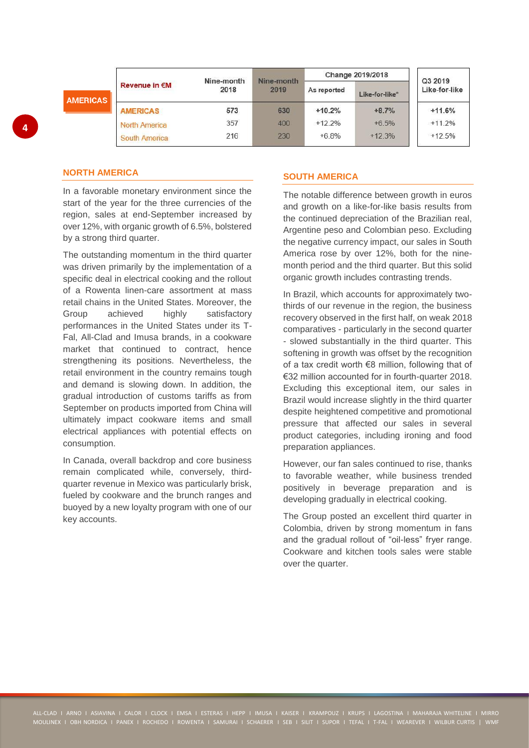|                 |                      | Nine-month | Nine-month | Change 2019/2018 |                | Q3 2019       |
|-----------------|----------------------|------------|------------|------------------|----------------|---------------|
| <b>AMERICAS</b> | <b>Revenue in €M</b> | 2018       | 2019       | As reported      | Like-for-like* | Like-for-like |
|                 | <b>AMERICAS</b>      | 573        | 630        | $+10.2%$         | $+8.7%$        | $+11.6%$      |
|                 | North America        | 357        | 400        | $+122\%$         | $+6.5%$        | $+11.2%$      |
|                 | South America        | 216        | 230        | $+6.8%$          | $+12.3%$       | $+12.5%$      |

### **NORTH AMERICA**

In a favorable monetary environment since the start of the year for the three currencies of the region, sales at end-September increased by over 12%, with organic growth of 6.5%, bolstered by a strong third quarter.

The outstanding momentum in the third quarter was driven primarily by the implementation of a specific deal in electrical cooking and the rollout of a Rowenta linen-care assortment at mass retail chains in the United States. Moreover, the Group achieved highly satisfactory performances in the United States under its T-Fal, All-Clad and Imusa brands, in a cookware market that continued to contract, hence strengthening its positions. Nevertheless, the retail environment in the country remains tough and demand is slowing down. In addition, the gradual introduction of customs tariffs as from September on products imported from China will ultimately impact cookware items and small electrical appliances with potential effects on consumption.

In Canada, overall backdrop and core business remain complicated while, conversely, thirdquarter revenue in Mexico was particularly brisk, fueled by cookware and the brunch ranges and buoyed by a new loyalty program with one of our key accounts.

### **SOUTH AMERICA**

The notable difference between growth in euros and growth on a like-for-like basis results from the continued depreciation of the Brazilian real, Argentine peso and Colombian peso. Excluding the negative currency impact, our sales in South America rose by over 12%, both for the ninemonth period and the third quarter. But this solid organic growth includes contrasting trends.

In Brazil, which accounts for approximately twothirds of our revenue in the region, the business recovery observed in the first half, on weak 2018 comparatives - particularly in the second quarter - slowed substantially in the third quarter. This softening in growth was offset by the recognition of a tax credit worth €8 million, following that of €32 million accounted for in fourth-quarter 2018. Excluding this exceptional item, our sales in Brazil would increase slightly in the third quarter despite heightened competitive and promotional pressure that affected our sales in several product categories, including ironing and food preparation appliances.

However, our fan sales continued to rise, thanks to favorable weather, while business trended positively in beverage preparation and is developing gradually in electrical cooking.

The Group posted an excellent third quarter in Colombia, driven by strong momentum in fans and the gradual rollout of "oil-less" fryer range. Cookware and kitchen tools sales were stable over the quarter.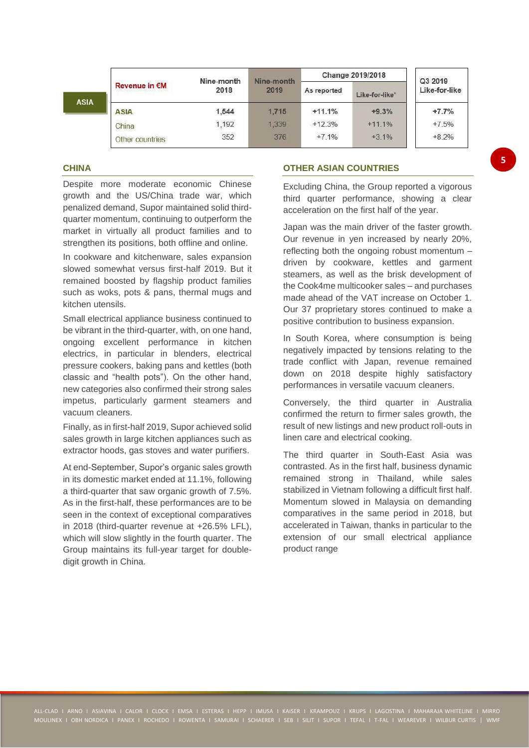|             |                      | Nine-month | Nine-month | Change 2019/2018 |                | Q3 2019       |
|-------------|----------------------|------------|------------|------------------|----------------|---------------|
| <b>ASIA</b> | <b>Revenue in €M</b> | 2018       | 2019       | As reported      | Like-for-like* | Like-for-like |
|             | <b>ASIA</b>          | 1,544      | 1,715      | $+11.1%$         | $+9.3%$        | $+7.7%$       |
|             | China                | 1,192      | 1.339      | $+12.3%$         | $+11.1%$       | $+7.5%$       |
|             | Other countries      | 352        | 376        | $+7.1%$          | $+3.1\%$       | $+8.2%$       |

### **CHINA**

Despite more moderate economic Chinese growth and the US/China trade war, which penalized demand, Supor maintained solid thirdquarter momentum, continuing to outperform the market in virtually all product families and to strengthen its positions, both offline and online.

In cookware and kitchenware, sales expansion slowed somewhat versus first-half 2019. But it remained boosted by flagship product families such as woks, pots & pans, thermal mugs and kitchen utensils.

Small electrical appliance business continued to be vibrant in the third-quarter, with, on one hand, ongoing excellent performance in kitchen electrics, in particular in blenders, electrical pressure cookers, baking pans and kettles (both classic and "health pots"). On the other hand, new categories also confirmed their strong sales impetus, particularly garment steamers and vacuum cleaners.

Finally, as in first-half 2019, Supor achieved solid sales growth in large kitchen appliances such as extractor hoods, gas stoves and water purifiers.

At end-September, Supor's organic sales growth in its domestic market ended at 11.1%, following a third-quarter that saw organic growth of 7.5%. As in the first-half, these performances are to be seen in the context of exceptional comparatives in 2018 (third-quarter revenue at +26.5% LFL), which will slow slightly in the fourth quarter. The Group maintains its full-year target for doubledigit growth in China.

### **OTHER ASIAN COUNTRIES**

Excluding China, the Group reported a vigorous third quarter performance, showing a clear acceleration on the first half of the year.

Japan was the main driver of the faster growth. Our revenue in yen increased by nearly 20%, reflecting both the ongoing robust momentum – driven by cookware, kettles and garment steamers, as well as the brisk development of the Cook4me multicooker sales – and purchases made ahead of the VAT increase on October 1. Our 37 proprietary stores continued to make a positive contribution to business expansion.

In South Korea, where consumption is being negatively impacted by tensions relating to the trade conflict with Japan, revenue remained down on 2018 despite highly satisfactory performances in versatile vacuum cleaners.

Conversely, the third quarter in Australia confirmed the return to firmer sales growth, the result of new listings and new product roll-outs in linen care and electrical cooking.

The third quarter in South-East Asia was contrasted. As in the first half, business dynamic remained strong in Thailand, while sales stabilized in Vietnam following a difficult first half. Momentum slowed in Malaysia on demanding comparatives in the same period in 2018, but accelerated in Taiwan, thanks in particular to the extension of our small electrical appliance product range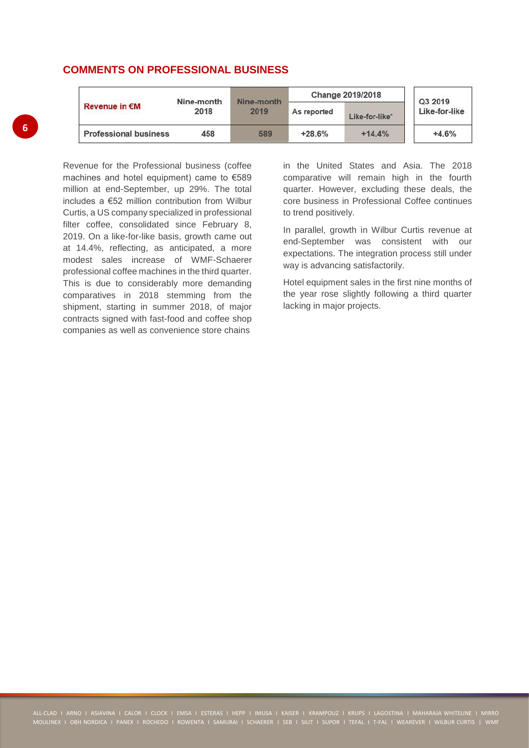# **COMMENTS ON PROFESSIONAL BUSINESS**

|                              | Nine-month | Nine-month<br>2019 | Change 2019/2018 | Q3 2019        |               |
|------------------------------|------------|--------------------|------------------|----------------|---------------|
| <b>Revenue in €M</b>         | 2018       |                    | As reported      | Like-for-like* | Like-for-like |
| <b>Professional business</b> | 458        | 589                | $+28.6%$         | $+14.4%$       | $+4.6%$       |

Revenue for the Professional business (coffee machines and hotel equipment) came to €589 million at end-September, up 29%. The total includes a €52 million contribution from Wilbur Curtis, a US company specialized in professional filter coffee, consolidated since February 8, 2019. On a like-for-like basis, growth came out at 14.4%, reflecting, as anticipated, a more modest sales increase of WMF-Schaerer professional coffee machines in the third quarter. This is due to considerably more demanding comparatives in 2018 stemming from the shipment, starting in summer 2018, of major contracts signed with fast-food and coffee shop companies as well as convenience store chains

in the United States and Asia. The 2018 comparative will remain high in the fourth quarter. However, excluding these deals, the core business in Professional Coffee continues to trend positively.

In parallel, growth in Wilbur Curtis revenue at end-September was consistent with our expectations. The integration process still under way is advancing satisfactorily.

Hotel equipment sales in the first nine months of the year rose slightly following a third quarter lacking in major projects.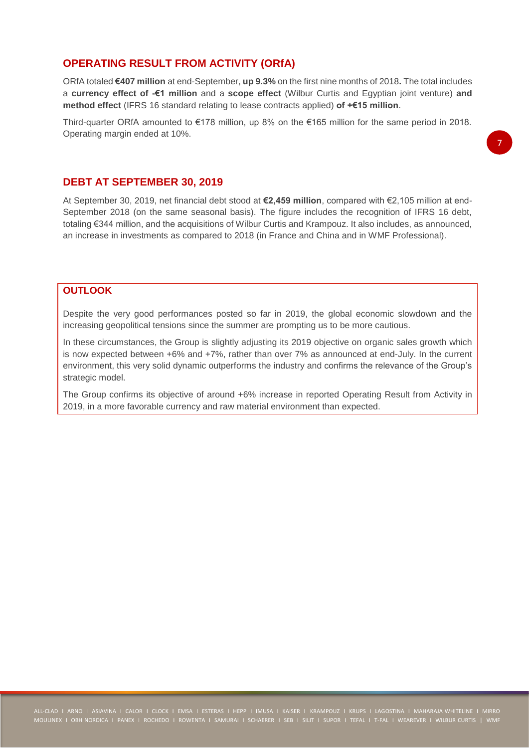## **OPERATING RESULT FROM ACTIVITY (ORfA)**

ORfA totaled **€407 million** at end-September, **up 9.3%** on the first nine months of 2018**.** The total includes a **currency effect of -€1 million** and a **scope effect** (Wilbur Curtis and Egyptian joint venture) **and method effect** (IFRS 16 standard relating to lease contracts applied) **of +€15 million**.

Third-quarter ORfA amounted to €178 million, up 8% on the €165 million for the same period in 2018. Operating margin ended at 10%.

## **DEBT AT SEPTEMBER 30, 2019**

At September 30, 2019, net financial debt stood at **€2,459 million**, compared with €2,105 million at end-September 2018 (on the same seasonal basis). The figure includes the recognition of IFRS 16 debt. totaling €344 million, and the acquisitions of Wilbur Curtis and Krampouz. It also includes, as announced, an increase in investments as compared to 2018 (in France and China and in WMF Professional).

# **OUTLOOK**

Despite the very good performances posted so far in 2019, the global economic slowdown and the increasing geopolitical tensions since the summer are prompting us to be more cautious.

In these circumstances, the Group is slightly adjusting its 2019 objective on organic sales growth which is now expected between +6% and +7%, rather than over 7% as announced at end-July. In the current environment, this very solid dynamic outperforms the industry and confirms the relevance of the Group's strategic model.

The Group confirms its objective of around +6% increase in reported Operating Result from Activity in 2019, in a more favorable currency and raw material environment than expected.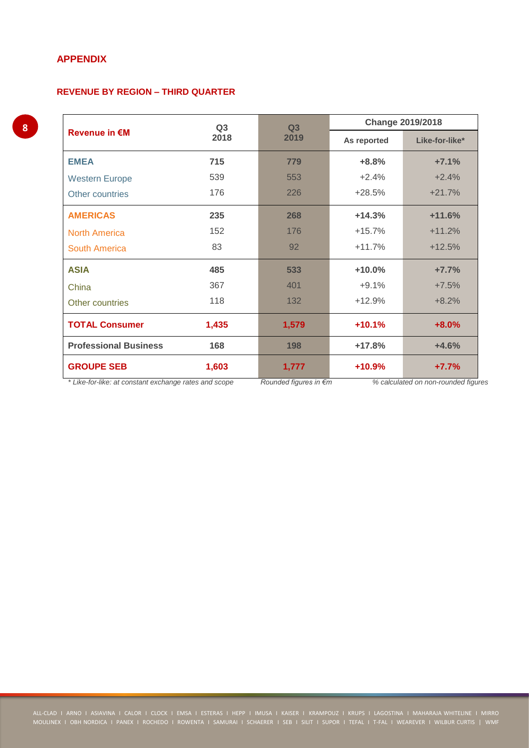# **APPENDIX**

### **REVENUE BY REGION – THIRD QUARTER**

|                                                       | Q <sub>3</sub>        | Q3                                  | <b>Change 2019/2018</b> |                |  |
|-------------------------------------------------------|-----------------------|-------------------------------------|-------------------------|----------------|--|
| <b>Revenue in €M</b>                                  | 2018                  | 2019                                | As reported             | Like-for-like* |  |
| <b>EMEA</b>                                           | 715                   | 779                                 | $+8.8%$                 | $+7.1%$        |  |
| <b>Western Europe</b>                                 | 539                   | 553                                 | $+2.4%$                 | $+2.4%$        |  |
| Other countries                                       | 176                   | 226                                 | $+28.5%$                | $+21.7%$       |  |
| <b>AMERICAS</b>                                       | 235                   | 268                                 | $+14.3%$                | $+11.6%$       |  |
| <b>North America</b>                                  | 152                   | 176                                 | $+15.7%$                | $+11.2%$       |  |
| South America                                         | 83                    | 92                                  | $+11.7%$                | $+12.5%$       |  |
| <b>ASIA</b>                                           | 485                   | 533                                 | $+10.0%$                | $+7.7%$        |  |
| China                                                 | 367                   | 401                                 | $+9.1%$                 | $+7.5%$        |  |
| Other countries                                       | 118                   | 132                                 | $+12.9%$                | $+8.2%$        |  |
| <b>TOTAL Consumer</b>                                 | 1,435                 | 1,579                               | $+10.1%$                | $+8.0%$        |  |
| <b>Professional Business</b>                          | 168                   | 198                                 | $+17.8%$                | $+4.6%$        |  |
| <b>GROUPE SEB</b>                                     | 1,603                 | 1,777                               | $+10.9%$                | $+7.7%$        |  |
| * Like-for-like: at constant exchange rates and scope | Rounded figures in €m | % calculated on non-rounded figures |                         |                |  |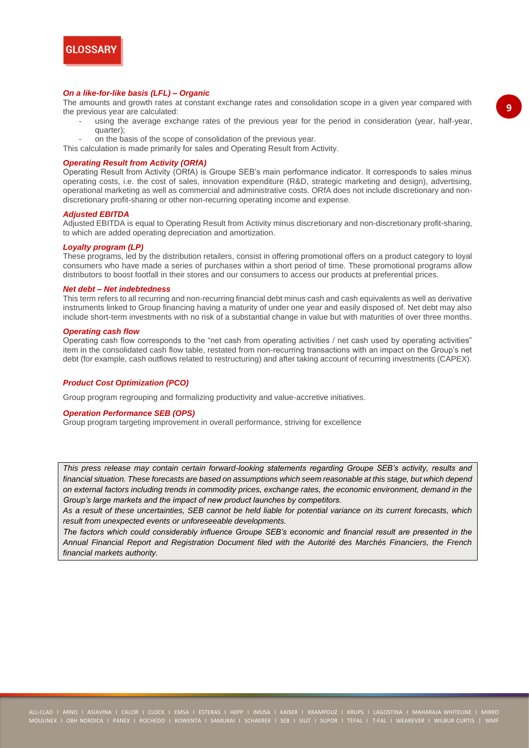

#### *On a like-for-like basis (LFL) – Organic*

The amounts and growth rates at constant exchange rates and consolidation scope in a given year compared with the previous year are calculated:

- using the average exchange rates of the previous year for the period in consideration (year, half-year, quarter);
- on the basis of the scope of consolidation of the previous year.

This calculation is made primarily for sales and Operating Result from Activity.

#### *Operating Result from Activity (ORfA)*

Operating Result from Activity (ORfA) is Groupe SEB's main performance indicator. It corresponds to sales minus operating costs, i.e. the cost of sales, innovation expenditure (R&D, strategic marketing and design), advertising, operational marketing as well as commercial and administrative costs. ORfA does not include discretionary and nondiscretionary profit-sharing or other non-recurring operating income and expense.

#### *Adjusted EBITDA*

Adjusted EBITDA is equal to Operating Result from Activity minus discretionary and non-discretionary profit-sharing, to which are added operating depreciation and amortization.

#### *Loyalty program (LP)*

These programs, led by the distribution retailers, consist in offering promotional offers on a product category to loyal consumers who have made a series of purchases within a short period of time. These promotional programs allow distributors to boost footfall in their stores and our consumers to access our products at preferential prices.

#### *Net debt – Net indebtedness*

This term refers to all recurring and non-recurring financial debt minus cash and cash equivalents as well as derivative instruments linked to Group financing having a maturity of under one year and easily disposed of. Net debt may also include short-term investments with no risk of a substantial change in value but with maturities of over three months.

#### *Operating cash flow*

Operating cash flow corresponds to the "net cash from operating activities / net cash used by operating activities" item in the consolidated cash flow table, restated from non-recurring transactions with an impact on the Group's net debt (for example, cash outflows related to restructuring) and after taking account of recurring investments (CAPEX).

#### *Product Cost Optimization (PCO)*

Group program regrouping and formalizing productivity and value-accretive initiatives.

#### *Operation Performance SEB (OPS)*

Group program targeting improvement in overall performance, striving for excellence

*This press release may contain certain forward-looking statements regarding Groupe SEB's activity, results and financial situation. These forecasts are based on assumptions which seem reasonable at this stage, but which depend on external factors including trends in commodity prices, exchange rates, the economic environment, demand in the Group's large markets and the impact of new product launches by competitors.*

*As a result of these uncertainties, SEB cannot be held liable for potential variance on its current forecasts, which result from unexpected events or unforeseeable developments.*

*The factors which could considerably influence Groupe SEB's economic and financial result are presented in the Annual Financial Report and Registration Document filed with the Autorité des Marchés Financiers, the French financial markets authority.*